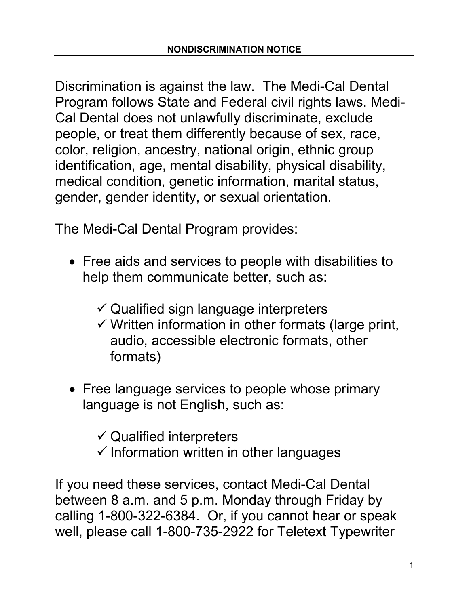Discrimination is against the law. The Medi-Cal Dental Program follows State and Federal civil rights laws. Medi-Cal Dental does not unlawfully discriminate, exclude people, or treat them differently because of sex, race, color, religion, ancestry, national origin, ethnic group identification, age, mental disability, physical disability, medical condition, genetic information, marital status, gender, gender identity, or sexual orientation.

The Medi-Cal Dental Program provides:

- Free aids and services to people with disabilities to help them communicate better, such as:
	- $\checkmark$  Qualified sign language interpreters
	- $\checkmark$  Written information in other formats (large print, audio, accessible electronic formats, other formats)
- Free language services to people whose primary language is not English, such as:

 $\checkmark$  Qualified interpreters

 $\checkmark$  Information written in other languages

 calling 1-800-322-6384. Or, if you cannot hear or speak If you need these services, contact Medi-Cal Dental between 8 a.m. and 5 p.m. Monday through Friday by well, please call 1-800-735-2922 for Teletext Typewriter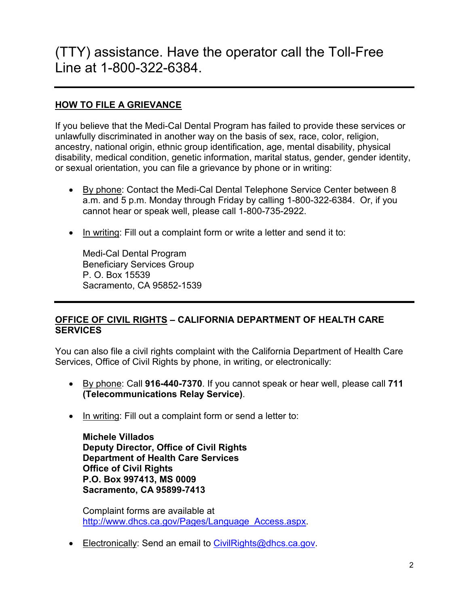## (TTY) assistance. Have the operator call the Toll-Free Line at 1-800-322-6384.

## **HOW TO FILE A GRIEVANCE**

If you believe that the Medi-Cal Dental Program has failed to provide these services or unlawfully discriminated in another way on the basis of sex, race, color, religion, ancestry, national origin, ethnic group identification, age, mental disability, physical disability, medical condition, genetic information, marital status, gender, gender identity, or sexual orientation, you can file a grievance by phone or in writing:

- cannot hear or speak well, please call 1-800-735-2922. • By phone: Contact the Medi-Cal Dental Telephone Service Center between 8 a.m. and 5 p.m. Monday through Friday by calling 1-800-322-6384. Or, if you
- In writing: Fill out a complaint form or write a letter and send it to:

Medi-Cal Dental Program Beneficiary Services Group P. O. Box 15539 Sacramento, CA 95852-1539

## **OFFICE OF CIVIL RIGHTS – CALIFORNIA DEPARTMENT OF HEALTH CARE SERVICES**

You can also file a civil rights complaint with the California Department of Health Care Services, Office of Civil Rights by phone, in writing, or electronically:

- By phone: Call **916-440-7370**. If you cannot speak or hear well, please call **711 (Telecommunications Relay Service)**.
- In writing: Fill out a complaint form or send a letter to:

**Michele Villados Deputy Director, Office of Civil Rights Department of Health Care Services Office of Civil Rights P.O. Box 997413, MS 0009 Sacramento, CA 95899-7413** 

Complaint forms are available at [http://www.dhcs.ca.gov/Pages/Language\\_Access.aspx.](http://www.dhcs.ca.gov/Pages/Language_Access.aspx)

• Electronically: Send an email to [CivilRights@dhcs.ca.gov.](mailto:CivilRights@dhcs.ca.gov)